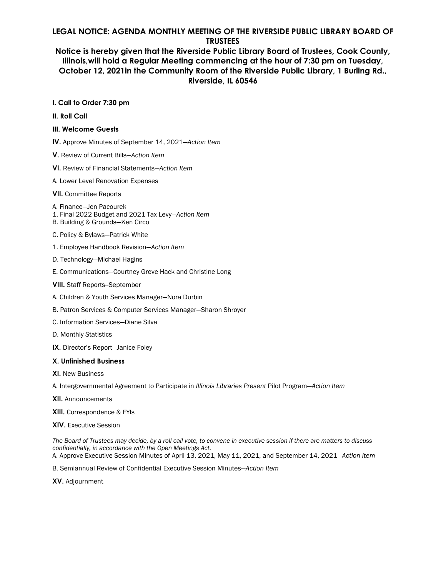## **LEGAL NOTICE: AGENDA MONTHLY MEETING OF THE RIVERSIDE PUBLIC LIBRARY BOARD OF TRUSTEES**

## **Notice is hereby given that the Riverside Public Library Board of Trustees, Cook County, Illinois,will hold a Regular Meeting commencing at the hour of 7:30 pm on Tuesday, October 12, 2021in the Community Room of the Riverside Public Library, 1 Burling Rd., Riverside, IL 60546**

#### **I. Call to Order 7:30 pm**

**II. Roll Call** 

#### **III. Welcome Guests**

- **IV.** Approve Minutes of September 14, 2021*—Action Item*
- **V.** Review of Current Bills*—Action Item*
- **VI.** Review of Financial Statements*—Action Item*
- A. Lower Level Renovation Expenses

#### **VII.** Committee Reports

- A. Finance—Jen Pacourek
- 1. Final 2022 Budget and 2021 Tax Levy*—Action Item*
- B. Building & Grounds—Ken Circo
- C. Policy & Bylaws—Patrick White
- 1. Employee Handbook Revision—*Action Item*
- D. Technology—Michael Hagins
- E. Communications—Courtney Greve Hack and Christine Long
- **VIII.** Staff Reports--September
- A. Children & Youth Services Manager—Nora Durbin
- B. Patron Services & Computer Services Manager—Sharon Shroyer
- C. Information Services—Diane Silva
- D. Monthly Statistics
- **IX.** Director's Report—Janice Foley

#### **X. Unfinished Business**

**XI.** New Business

A. Intergovernmental Agreement to Participate in *Illinois Libraries Present* Pilot Program*—Action Item* 

- **XII.** Announcements
- **XIII.** Correspondence & FYIs
- **XIV.** Executive Session

*The Board of Trustees may decide, by a roll call vote, to convene in executive session if there are matters to discuss confidentially, in accordance with the Open Meetings Act.*  A. Approve Executive Session Minutes of April 13, 2021, May 11, 2021, and September 14, 2021*—Action Item* 

B. Semiannual Review of Confidential Executive Session Minutes*—Action Item* 

**XV.** Adjournment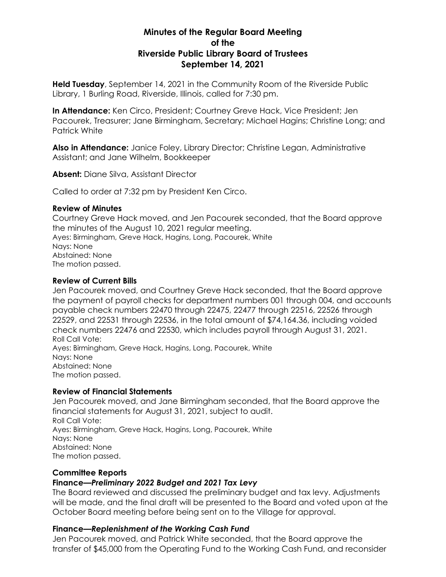# **Minutes of the Regular Board Meeting of the Riverside Public Library Board of Trustees September 14, 2021**

**Held Tuesday**, September 14, 2021 in the Community Room of the Riverside Public Library, 1 Burling Road, Riverside, Illinois, called for 7:30 pm.

**In Attendance:** Ken Circo, President; Courtney Greve Hack, Vice President; Jen Pacourek, Treasurer; Jane Birmingham, Secretary; Michael Hagins; Christine Long; and Patrick White

**Also in Attendance:** Janice Foley, Library Director; Christine Legan, Administrative Assistant; and Jane Wilhelm, Bookkeeper

**Absent:** Diane Silva, Assistant Director

Called to order at 7:32 pm by President Ken Circo.

## **Review of Minutes**

Courtney Greve Hack moved, and Jen Pacourek seconded, that the Board approve the minutes of the August 10, 2021 regular meeting. Ayes: Birmingham, Greve Hack, Hagins, Long, Pacourek, White Nays: None Abstained: None The motion passed.

## **Review of Current Bills**

Jen Pacourek moved, and Courtney Greve Hack seconded, that the Board approve the payment of payroll checks for department numbers 001 through 004, and accounts payable check numbers 22470 through 22475, 22477 through 22516, 22526 through 22529, and 22531 through 22536, in the total amount of \$74,164.36, including voided check numbers 22476 and 22530, which includes payroll through August 31, 2021. Roll Call Vote: Ayes: Birmingham, Greve Hack, Hagins, Long, Pacourek, White Nays: None Abstained: None The motion passed.

## **Review of Financial Statements**

Jen Pacourek moved, and Jane Birmingham seconded, that the Board approve the financial statements for August 31, 2021, subject to audit. Roll Call Vote: Ayes: Birmingham, Greve Hack, Hagins, Long, Pacourek, White Nays: None Abstained: None The motion passed.

## **Committee Reports**

# **Finance***—Preliminary 2022 Budget and 2021 Tax Levy*

The Board reviewed and discussed the preliminary budget and tax levy. Adjustments will be made, and the final draft will be presented to the Board and voted upon at the October Board meeting before being sent on to the Village for approval.

## **Finance***—Replenishment of the Working Cash Fund*

Jen Pacourek moved, and Patrick White seconded, that the Board approve the transfer of \$45,000 from the Operating Fund to the Working Cash Fund, and reconsider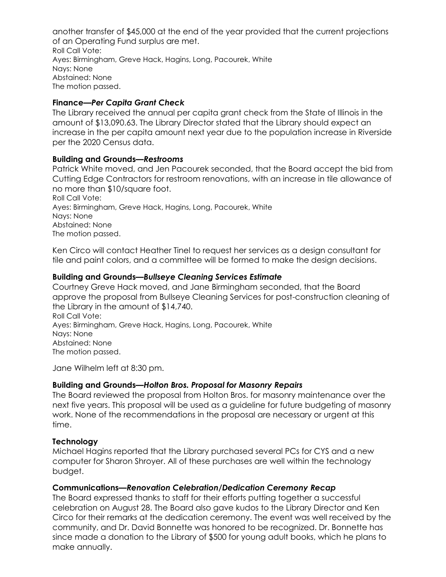another transfer of \$45,000 at the end of the year provided that the current projections of an Operating Fund surplus are met. Roll Call Vote: Ayes: Birmingham, Greve Hack, Hagins, Long, Pacourek, White Nays: None Abstained: None The motion passed.

## **Finance***—Per Capita Grant Check*

The Library received the annual per capita grant check from the State of Illinois in the amount of \$13,090.63. The Library Director stated that the Library should expect an increase in the per capita amount next year due to the population increase in Riverside per the 2020 Census data.

## **Building and Grounds***—Restrooms*

Patrick White moved, and Jen Pacourek seconded, that the Board accept the bid from Cutting Edge Contractors for restroom renovations, with an increase in tile allowance of no more than \$10/square foot. Roll Call Vote: Ayes: Birmingham, Greve Hack, Hagins, Long, Pacourek, White Nays: None Abstained: None The motion passed.

Ken Circo will contact Heather Tinel to request her services as a design consultant for tile and paint colors, and a committee will be formed to make the design decisions.

## **Building and Grounds***—Bullseye Cleaning Services Estimate*

Courtney Greve Hack moved, and Jane Birmingham seconded, that the Board approve the proposal from Bullseye Cleaning Services for post-construction cleaning of the Library in the amount of \$14,740.

Roll Call Vote: Ayes: Birmingham, Greve Hack, Hagins, Long, Pacourek, White Nays: None Abstained: None The motion passed.

Jane Wilhelm left at 8:30 pm.

## **Building and Grounds***—Holton Bros. Proposal for Masonry Repairs*

The Board reviewed the proposal from Holton Bros. for masonry maintenance over the next five years. This proposal will be used as a guideline for future budgeting of masonry work. None of the recommendations in the proposal are necessary or urgent at this time.

## **Technology**

Michael Hagins reported that the Library purchased several PCs for CYS and a new computer for Sharon Shroyer. All of these purchases are well within the technology budget.

## **Communications***—Renovation Celebration/Dedication Ceremony Recap*

The Board expressed thanks to staff for their efforts putting together a successful celebration on August 28. The Board also gave kudos to the Library Director and Ken Circo for their remarks at the dedication ceremony. The event was well received by the community, and Dr. David Bonnette was honored to be recognized. Dr. Bonnette has since made a donation to the Library of \$500 for young adult books, which he plans to make annually.